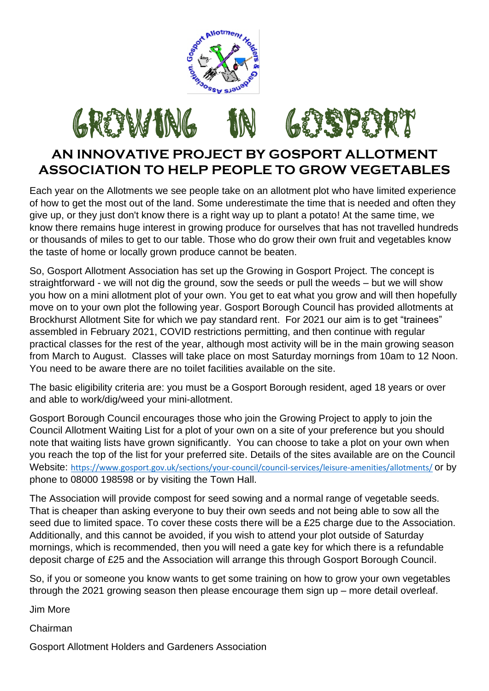



## **AN INNOVATIVE PROJECT BY GOSPORT ALLOTMENT ASSOCIATION TO HELP PEOPLE TO GROW VEGETABLES**

Each year on the Allotments we see people take on an allotment plot who have limited experience of how to get the most out of the land. Some underestimate the time that is needed and often they give up, or they just don't know there is a right way up to plant a potato! At the same time, we know there remains huge interest in growing produce for ourselves that has not travelled hundreds or thousands of miles to get to our table. Those who do grow their own fruit and vegetables know the taste of home or locally grown produce cannot be beaten.

So, Gosport Allotment Association has set up the Growing in Gosport Project. The concept is straightforward - we will not dig the ground, sow the seeds or pull the weeds – but we will show you how on a mini allotment plot of your own. You get to eat what you grow and will then hopefully move on to your own plot the following year. Gosport Borough Council has provided allotments at Brockhurst Allotment Site for which we pay standard rent. For 2021 our aim is to get "trainees" assembled in February 2021, COVID restrictions permitting, and then continue with regular practical classes for the rest of the year, although most activity will be in the main growing season from March to August. Classes will take place on most Saturday mornings from 10am to 12 Noon. You need to be aware there are no toilet facilities available on the site.

The basic eligibility criteria are: you must be a Gosport Borough resident, aged 18 years or over and able to work/dig/weed your mini-allotment.

Gosport Borough Council encourages those who join the Growing Project to apply to join the Council Allotment Waiting List for a plot of your own on a site of your preference but you should note that waiting lists have grown significantly. You can choose to take a plot on your own when you reach the top of the list for your preferred site. Details of the sites available are on the Council Website: [https://www.gosport.gov.uk/sections/your-council/council-services/leisure-amenities/allotments/](https://urldefense.proofpoint.com/v2/url?u=https-3A__www.gosport.gov.uk_sections_your-2Dcouncil_council-2Dservices_leisure-2Damenities_allotments_&d=DwMFAg&c=axaOw2qHyp7zEDNbTjpgYA&r=afdII5SwJV-eOHPxFNSQDmr2dc8hmr9o5a4oij_qCB5UYfifqav8P90_AbmOTqSY&m=usY7D93950fDwGPzkqmBpxyYXX6EjSKgDBY8h34XBro&s=RT43nL_aq0CgYZlpdf2utxVClGXUYxgY74cK92FHYCs&e=) or by phone to 08000 198598 or by visiting the Town Hall.

The Association will provide compost for seed sowing and a normal range of vegetable seeds. That is cheaper than asking everyone to buy their own seeds and not being able to sow all the seed due to limited space. To cover these costs there will be a £25 charge due to the Association. Additionally, and this cannot be avoided, if you wish to attend your plot outside of Saturday mornings, which is recommended, then you will need a gate key for which there is a refundable deposit charge of £25 and the Association will arrange this through Gosport Borough Council.

So, if you or someone you know wants to get some training on how to grow your own vegetables through the 2021 growing season then please encourage them sign up – more detail overleaf.

Jim More

Chairman

Gosport Allotment Holders and Gardeners Association